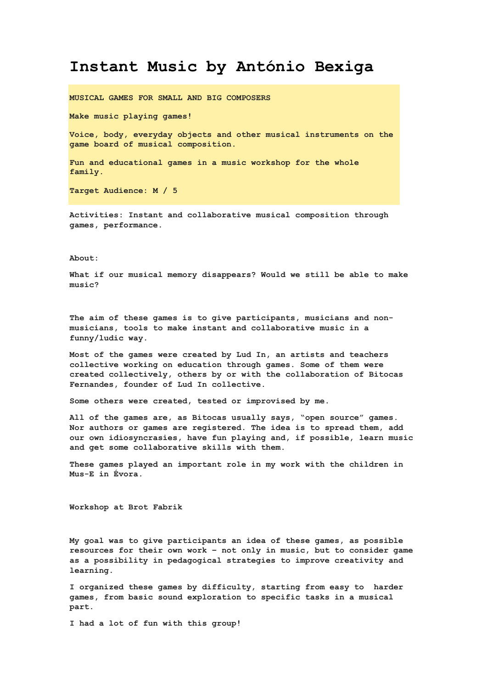## **Instant Music by António Bexiga**

**MUSICAL GAMES FOR SMALL AND BIG COMPOSERS**

**Make music playing games!**

**Voice, body, everyday objects and other musical instruments on the game board of musical composition.**

**Fun and educational games in a music workshop for the whole family.**

**Target Audience: M / 5**

**Activities: Instant and collaborative musical composition through games, performance.**

**About:** 

**What if our musical memory disappears? Would we still be able to make music?**

**The aim of these games is to give participants, musicians and nonmusicians, tools to make instant and collaborative music in a funny/ludic way.** 

**Most of the games were created by Lud In, an artists and teachers collective working on education through games. Some of them were created collectively, others by or with the collaboration of Bitocas Fernandes, founder of Lud In collective.**

**Some others were created, tested or improvised by me.**

**All of the games are, as Bitocas usually says, "open source" games. Nor authors or games are registered. The idea is to spread them, add our own idiosyncrasies, have fun playing and, if possible, learn music and get some collaborative skills with them.**

**These games played an important role in my work with the children in Mus-E in Évora.** 

**Workshop at Brot Fabrik**

**My goal was to give participants an idea of these games, as possible resources for their own work – not only in music, but to consider game as a possibility in pedagogical strategies to improve creativity and learning.**

**I organized these games by difficulty, starting from easy to harder games, from basic sound exploration to specific tasks in a musical part.**

**I had a lot of fun with this group!**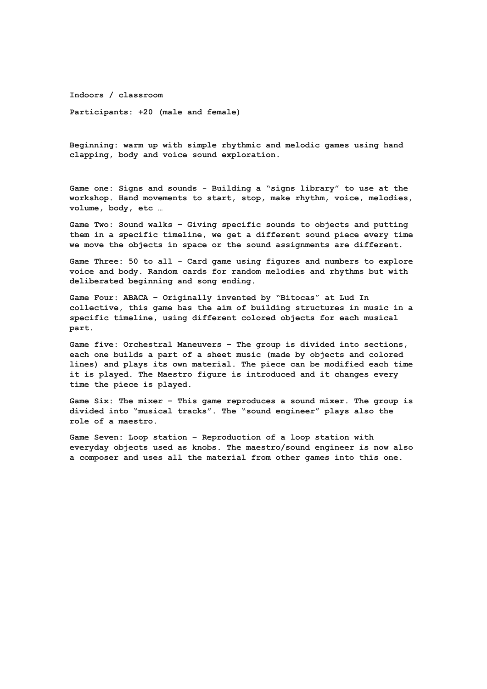**Indoors / classroom**

**Participants: +20 (male and female)**

**Beginning: warm up with simple rhythmic and melodic games using hand clapping, body and voice sound exploration.** 

**Game one: Signs and sounds - Building a "signs library" to use at the workshop. Hand movements to start, stop, make rhythm, voice, melodies, volume, body, etc …**

**Game Two: Sound walks – Giving specific sounds to objects and putting them in a specific timeline, we get a different sound piece every time we move the objects in space or the sound assignments are different.** 

**Game Three: 50 to all - Card game using figures and numbers to explore voice and body. Random cards for random melodies and rhythms but with deliberated beginning and song ending.** 

**Game Four: ABACA – Originally invented by "Bitocas" at Lud In collective, this game has the aim of building structures in music in a specific timeline, using different colored objects for each musical part.**

**Game five: Orchestral Maneuvers – The group is divided into sections, each one builds a part of a sheet music (made by objects and colored lines) and plays its own material. The piece can be modified each time it is played. The Maestro figure is introduced and it changes every time the piece is played.**

**Game Six: The mixer – This game reproduces a sound mixer. The group is divided into "musical tracks". The "sound engineer" plays also the role of a maestro.**

**Game Seven: Loop station – Reproduction of a loop station with everyday objects used as knobs. The maestro/sound engineer is now also a composer and uses all the material from other games into this one.**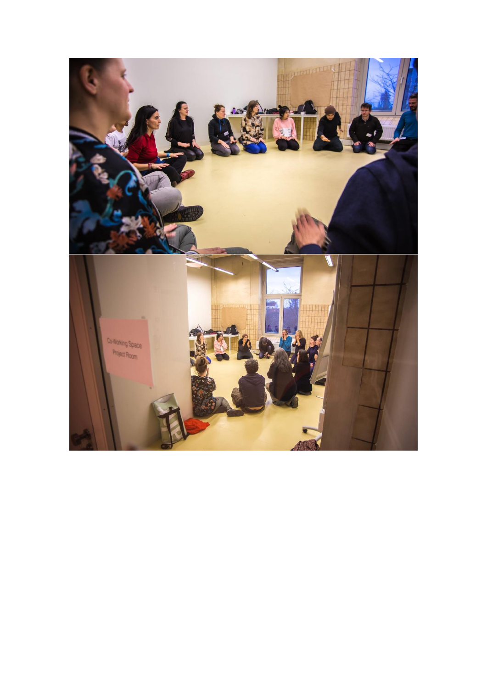